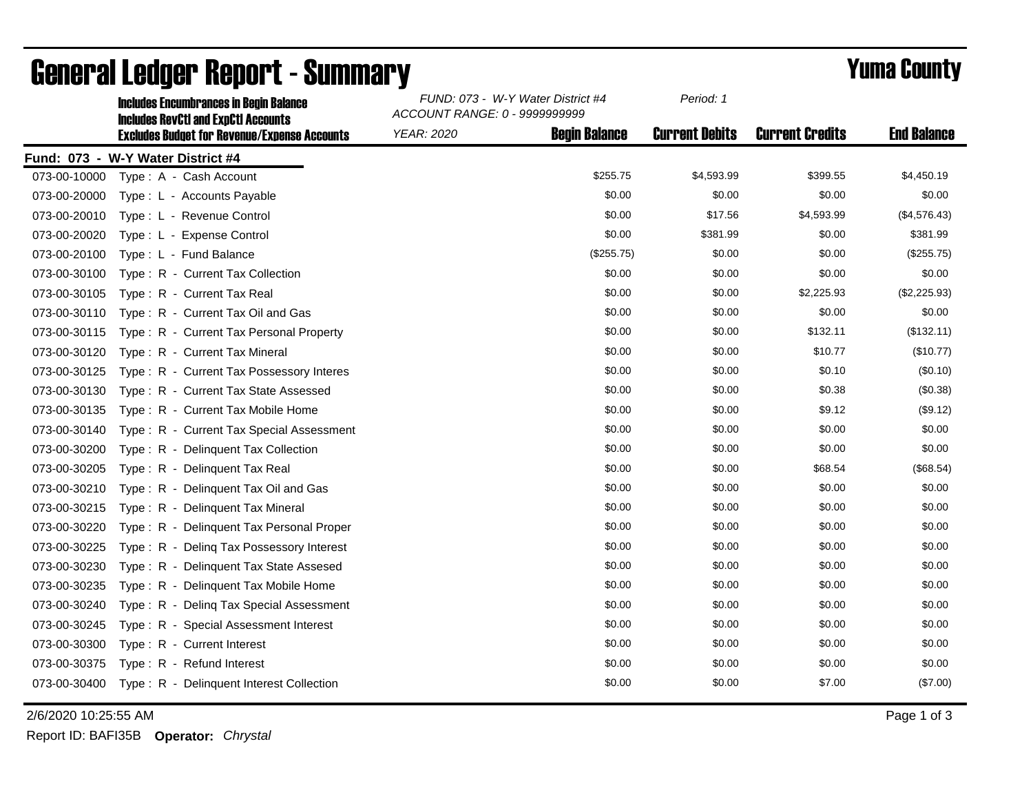|              | <b>Includes Encumbrances in Begin Balance</b><br><b>Includes RevCtI and ExpCtI Accounts</b> | FUND: 073 - W-Y Water District #4<br>ACCOUNT RANGE: 0 - 9999999999 |                      | Period: 1             |                        |                    |
|--------------|---------------------------------------------------------------------------------------------|--------------------------------------------------------------------|----------------------|-----------------------|------------------------|--------------------|
|              | <b>Excludes Budget for Revenue/Expense Accounts</b>                                         | <b>YEAR: 2020</b>                                                  | <b>Begin Balance</b> | <b>Current Debits</b> | <b>Current Credits</b> | <b>End Balance</b> |
|              | Fund: 073 - W-Y Water District #4                                                           |                                                                    |                      |                       |                        |                    |
| 073-00-10000 | Type: A - Cash Account                                                                      |                                                                    | \$255.75             | \$4,593.99            | \$399.55               | \$4,450.19         |
| 073-00-20000 | Type: L - Accounts Payable                                                                  |                                                                    | \$0.00               | \$0.00                | \$0.00                 | \$0.00             |
| 073-00-20010 | Type: L - Revenue Control                                                                   |                                                                    | \$0.00               | \$17.56               | \$4,593.99             | (\$4,576.43)       |
| 073-00-20020 | Type: L - Expense Control                                                                   |                                                                    | \$0.00               | \$381.99              | \$0.00                 | \$381.99           |
| 073-00-20100 | Type: L - Fund Balance                                                                      |                                                                    | (\$255.75)           | \$0.00                | \$0.00                 | (\$255.75)         |
| 073-00-30100 | Type: R - Current Tax Collection                                                            |                                                                    | \$0.00               | \$0.00                | \$0.00                 | \$0.00             |
| 073-00-30105 | Type: R - Current Tax Real                                                                  |                                                                    | \$0.00               | \$0.00                | \$2,225.93             | (\$2,225.93)       |
| 073-00-30110 | Type: R - Current Tax Oil and Gas                                                           |                                                                    | \$0.00               | \$0.00                | \$0.00                 | \$0.00             |
| 073-00-30115 | Type: R - Current Tax Personal Property                                                     |                                                                    | \$0.00               | \$0.00                | \$132.11               | (\$132.11)         |
| 073-00-30120 | Type: R - Current Tax Mineral                                                               |                                                                    | \$0.00               | \$0.00                | \$10.77                | (\$10.77)          |
| 073-00-30125 | Type: R - Current Tax Possessory Interes                                                    |                                                                    | \$0.00               | \$0.00                | \$0.10                 | (\$0.10)           |
| 073-00-30130 | Type: R - Current Tax State Assessed                                                        |                                                                    | \$0.00               | \$0.00                | \$0.38                 | (\$0.38)           |
| 073-00-30135 | Type: R - Current Tax Mobile Home                                                           |                                                                    | \$0.00               | \$0.00                | \$9.12                 | (\$9.12)           |
| 073-00-30140 | Type: R - Current Tax Special Assessment                                                    |                                                                    | \$0.00               | \$0.00                | \$0.00                 | \$0.00             |
| 073-00-30200 | Type: R - Delinquent Tax Collection                                                         |                                                                    | \$0.00               | \$0.00                | \$0.00                 | \$0.00             |
| 073-00-30205 | Type: R - Delinquent Tax Real                                                               |                                                                    | \$0.00               | \$0.00                | \$68.54                | (\$68.54)          |
| 073-00-30210 | Type: R - Delinquent Tax Oil and Gas                                                        |                                                                    | \$0.00               | \$0.00                | \$0.00                 | \$0.00             |
| 073-00-30215 | Type: R - Delinquent Tax Mineral                                                            |                                                                    | \$0.00               | \$0.00                | \$0.00                 | \$0.00             |
| 073-00-30220 | Type: R - Delinquent Tax Personal Proper                                                    |                                                                    | \$0.00               | \$0.00                | \$0.00                 | \$0.00             |
| 073-00-30225 | Type: R - Deling Tax Possessory Interest                                                    |                                                                    | \$0.00               | \$0.00                | \$0.00                 | \$0.00             |
| 073-00-30230 | Type: R - Delinquent Tax State Assesed                                                      |                                                                    | \$0.00               | \$0.00                | \$0.00                 | \$0.00             |
| 073-00-30235 | Type: R - Delinquent Tax Mobile Home                                                        |                                                                    | \$0.00               | \$0.00                | \$0.00                 | \$0.00             |
| 073-00-30240 | Type: R - Deling Tax Special Assessment                                                     |                                                                    | \$0.00               | \$0.00                | \$0.00                 | \$0.00             |
| 073-00-30245 | Type: R - Special Assessment Interest                                                       |                                                                    | \$0.00               | \$0.00                | \$0.00                 | \$0.00             |
| 073-00-30300 | Type: R - Current Interest                                                                  |                                                                    | \$0.00               | \$0.00                | \$0.00                 | \$0.00             |
| 073-00-30375 | Type: R - Refund Interest                                                                   |                                                                    | \$0.00               | \$0.00                | \$0.00                 | \$0.00             |
|              | 073-00-30400 Type: R - Delinquent Interest Collection                                       |                                                                    | \$0.00               | \$0.00                | \$7.00                 | (\$7.00)           |

## General Ledger Report - Summary **Example 2018** Yuma County

2/6/2020 10:25:55 AM Page 1 of 3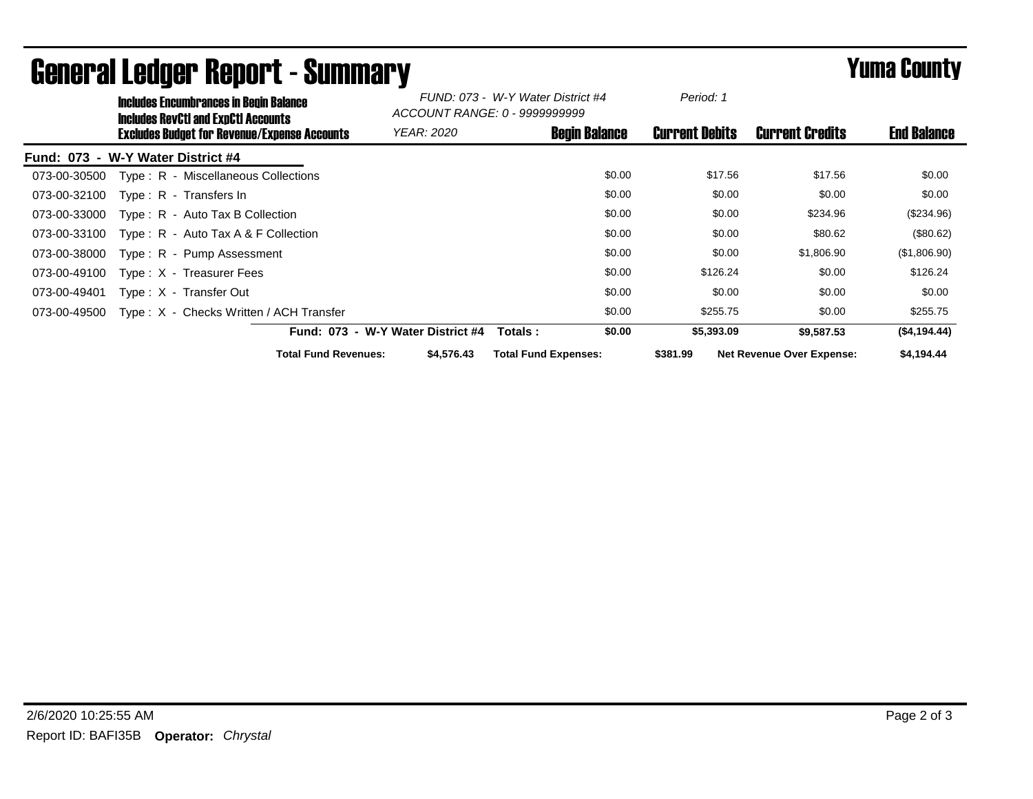|                                   | <b>Includes Encumbrances in Begin Balance</b><br><b>Includes RevCtI and ExpCtI Accounts</b> |                                                     |                                   | FUND: 073 - W-Y Water District #4<br>ACCOUNT RANGE: 0 - 9999999999 |                             | Period: 1            |                       |                           |                    |
|-----------------------------------|---------------------------------------------------------------------------------------------|-----------------------------------------------------|-----------------------------------|--------------------------------------------------------------------|-----------------------------|----------------------|-----------------------|---------------------------|--------------------|
|                                   |                                                                                             | <b>Excludes Budget for Revenue/Expense Accounts</b> | <b>YEAR: 2020</b>                 |                                                                    |                             | <b>Begin Balance</b> | <b>Current Debits</b> | <b>Current Credits</b>    | <b>End Balance</b> |
| Fund: 073 - W-Y Water District #4 |                                                                                             |                                                     |                                   |                                                                    |                             |                      |                       |                           |                    |
| 073-00-30500                      |                                                                                             | Type: R - Miscellaneous Collections                 |                                   |                                                                    |                             | \$0.00               | \$17.56               | \$17.56                   | \$0.00             |
| 073-00-32100                      |                                                                                             | Type: R - Transfers In                              |                                   |                                                                    |                             | \$0.00               | \$0.00                | \$0.00                    | \$0.00             |
| 073-00-33000                      |                                                                                             | $Type: R - Auto Tax B Collection$                   |                                   |                                                                    |                             | \$0.00               | \$0.00                | \$234.96                  | (\$234.96)         |
| 073-00-33100                      |                                                                                             | Type: $R -$ Auto Tax A & F Collection               |                                   |                                                                    |                             | \$0.00               | \$0.00                | \$80.62                   | (\$80.62)          |
| 073-00-38000                      |                                                                                             | Type: R - Pump Assessment                           |                                   |                                                                    |                             | \$0.00               | \$0.00                | \$1,806.90                | (\$1,806.90)       |
| 073-00-49100                      |                                                                                             | Type: X - Treasurer Fees                            |                                   |                                                                    |                             | \$0.00               | \$126.24              | \$0.00                    | \$126.24           |
| 073-00-49401                      |                                                                                             | Type: X - Transfer Out                              |                                   |                                                                    |                             | \$0.00               | \$0.00                | \$0.00                    | \$0.00             |
| 073-00-49500                      |                                                                                             | Type: X - Checks Written / ACH Transfer             |                                   |                                                                    |                             | \$0.00               | \$255.75              | \$0.00                    | \$255.75           |
|                                   |                                                                                             |                                                     | Fund: 073 - W-Y Water District #4 |                                                                    | Totals :                    | \$0.00               | \$5,393.09            | \$9.587.53                | (\$4,194.44)       |
|                                   |                                                                                             | <b>Total Fund Revenues:</b>                         |                                   | \$4,576.43                                                         | <b>Total Fund Expenses:</b> |                      | \$381.99              | Net Revenue Over Expense: | \$4,194.44         |

## General Ledger Report - Summary **Example 2018** Yuma County